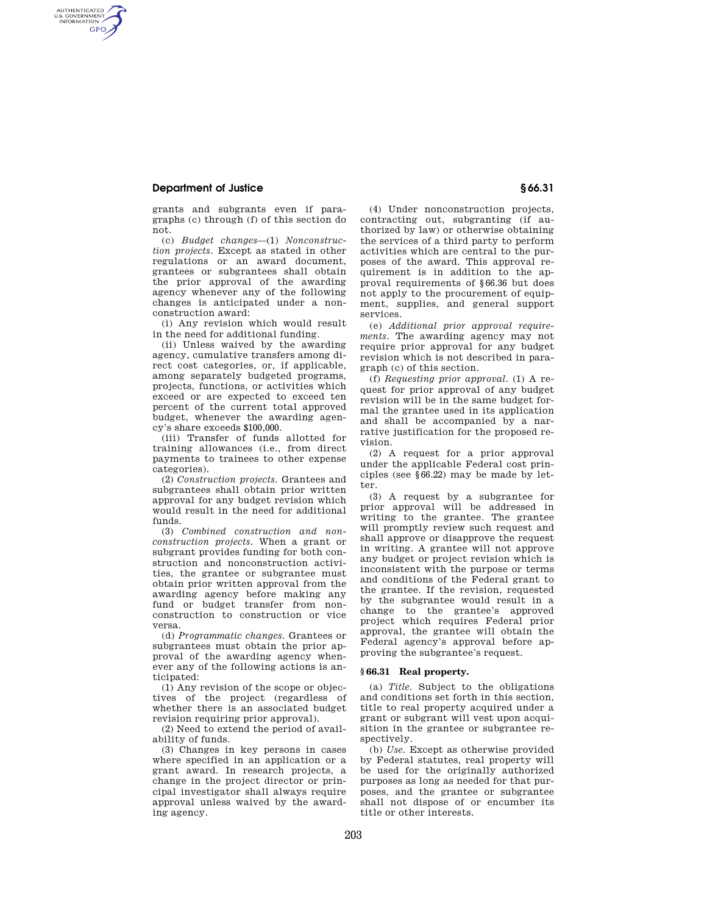## **Department of Justice § 66.31**

AUTHENTICATED<br>U.S. GOVERNMENT<br>INFORMATION **GPO** 

> grants and subgrants even if paragraphs (c) through (f) of this section do not.

> (c) *Budget changes*—(1) *Nonconstruction projects.* Except as stated in other regulations or an award document, grantees or subgrantees shall obtain the prior approval of the awarding agency whenever any of the following changes is anticipated under a nonconstruction award:

> (i) Any revision which would result in the need for additional funding.

> (ii) Unless waived by the awarding agency, cumulative transfers among direct cost categories, or, if applicable, among separately budgeted programs, projects, functions, or activities which exceed or are expected to exceed ten percent of the current total approved budget, whenever the awarding agency's share exceeds \$100,000.

> (iii) Transfer of funds allotted for training allowances (i.e., from direct payments to trainees to other expense categories).

> (2) *Construction projects.* Grantees and subgrantees shall obtain prior written approval for any budget revision which would result in the need for additional funds.

> (3) *Combined construction and nonconstruction projects.* When a grant or subgrant provides funding for both construction and nonconstruction activities, the grantee or subgrantee must obtain prior written approval from the awarding agency before making any fund or budget transfer from nonconstruction to construction or vice versa.

> (d) *Programmatic changes.* Grantees or subgrantees must obtain the prior approval of the awarding agency whenever any of the following actions is anticipated:

> (1) Any revision of the scope or objectives of the project (regardless of whether there is an associated budget revision requiring prior approval).

(2) Need to extend the period of availability of funds.

(3) Changes in key persons in cases where specified in an application or a grant award. In research projects, a change in the project director or principal investigator shall always require approval unless waived by the awarding agency.

(4) Under nonconstruction projects, contracting out, subgranting (if authorized by law) or otherwise obtaining the services of a third party to perform activities which are central to the purposes of the award. This approval requirement is in addition to the approval requirements of §66.36 but does not apply to the procurement of equipment, supplies, and general support services.

(e) *Additional prior approval requirements.* The awarding agency may not require prior approval for any budget revision which is not described in paragraph (c) of this section.

(f) *Requesting prior approval.* (1) A request for prior approval of any budget revision will be in the same budget formal the grantee used in its application and shall be accompanied by a narrative justification for the proposed revision.

(2) A request for a prior approval under the applicable Federal cost principles (see §66.22) may be made by letter.

(3) A request by a subgrantee for prior approval will be addressed in writing to the grantee. The grantee will promptly review such request and shall approve or disapprove the request in writing. A grantee will not approve any budget or project revision which is inconsistent with the purpose or terms and conditions of the Federal grant to the grantee. If the revision, requested by the subgrantee would result in a change to the grantee's approved project which requires Federal prior approval, the grantee will obtain the Federal agency's approval before approving the subgrantee's request.

## **§ 66.31 Real property.**

(a) *Title.* Subject to the obligations and conditions set forth in this section, title to real property acquired under a grant or subgrant will vest upon acquisition in the grantee or subgrantee respectively.

(b) *Use.* Except as otherwise provided by Federal statutes, real property will be used for the originally authorized purposes as long as needed for that purposes, and the grantee or subgrantee shall not dispose of or encumber its title or other interests.